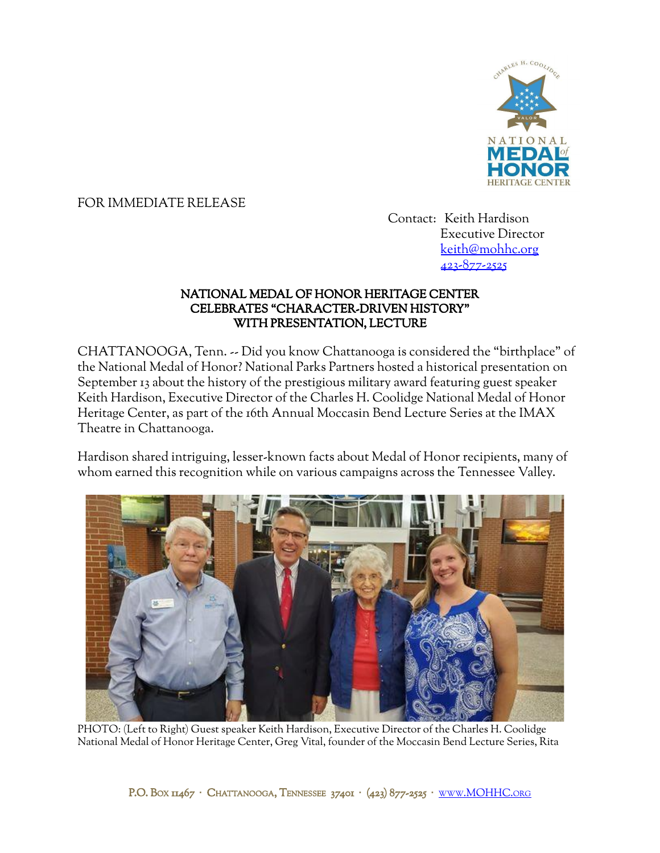

## FOR IMMEDIATE RELEASE

Contact: Keith Hardison Executive Director [keith@mohhc.org](mailto:keith@mohhc.org) 423-877-2525

## NATIONAL MEDAL OF HONOR HERITAGE CENTER CELEBRATES "CHARACTER-DRIVEN HISTORY" WITH PRESENTATION, LECTURE

CHATTANOOGA, Tenn. -- Did you know Chattanooga is considered the "birthplace" of the National Medal of Honor? National Parks Partners hosted a historical presentation on September 13 about the history of the prestigious military award featuring guest speaker Keith Hardison, Executive Director of the Charles H. Coolidge National Medal of Honor Heritage Center, as part of the 16th Annual Moccasin Bend Lecture Series at the IMAX Theatre in Chattanooga.

Hardison shared intriguing, lesser-known facts about Medal of Honor recipients, many of whom earned this recognition while on various campaigns across the Tennessee Valley.



PHOTO: (Left to Right) Guest speaker Keith Hardison, Executive Director of the Charles H. Coolidge National Medal of Honor Heritage Center, Greg Vital, founder of the Moccasin Bend Lecture Series, Rita